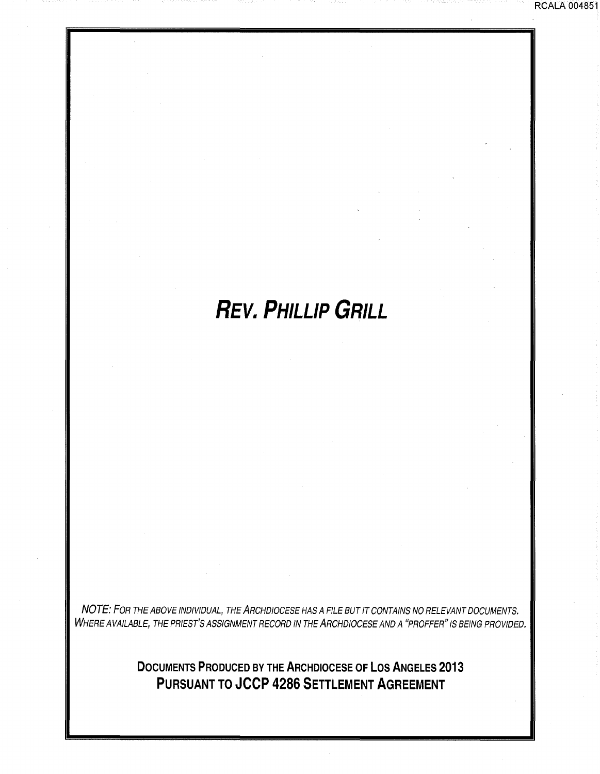# **REV. PHILLIP GRILL**

RCALA 004851

NOTE: FOR THE ABOVE INDIVIDUAL, THE ARCHDIOCESE HAS A FILE BUT IT CONTAINS NO RELEVANT DOCUMENTS. WHERE AVAILABLE, THE PRIEST'S ASSIGNMENT RECORD IN THE ARCHDIOCESE AND A "PROFFER" IS BEING PROVIDED.

> **DOCUMENTS PRODUCED BY THE ARCHDIOCESE OF LOS ANGELES 2013 PURSUANT TO JCCP 4286 SETTLEMENT AGREEMENT**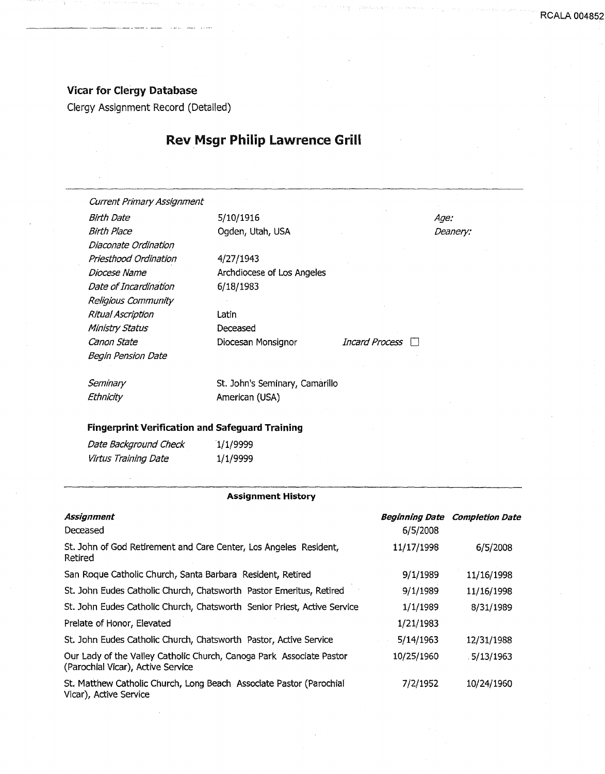### Vicar for Clergy Database

-----···-------·-·-·-·-- --

Clergy Assignment Record (Detailed)

# Rev Msgr Philip lawrence Grill

| Current Primary Assignment                             |                                |                |                 |
|--------------------------------------------------------|--------------------------------|----------------|-----------------|
| Birth Date                                             | 5/10/1916                      |                | <i>Age:</i>     |
| Birth Place                                            | Ogden, Utah, USA               |                | <i>Deanery:</i> |
| Diaconate Ordination                                   |                                |                |                 |
| Priesthood Ordination                                  | 4/27/1943                      |                |                 |
| Diocese Name                                           | Archdiocese of Los Angeles     |                |                 |
| Date of Incardination                                  | 6/18/1983                      |                |                 |
| Religious Community                                    |                                |                |                 |
| Ritual Ascription                                      | Latin                          |                |                 |
| Ministry Status                                        | Deceased                       |                |                 |
| Canon State                                            | Diocesan Monsignor             | Incard Process |                 |
| Begin Pension Date                                     |                                |                |                 |
|                                                        |                                |                |                 |
| Seminary                                               | St. John's Seminary, Camarillo |                |                 |
| Ethnicity                                              | American (USA)                 |                |                 |
|                                                        |                                |                |                 |
| <b>Fingerprint Verification and Safeguard Training</b> |                                |                |                 |
| Date Background Check                                  | 1/1/9999                       |                |                 |

| Virtus Training Date | 1/1/9999 |
|----------------------|----------|

#### Assignment History

| Assignment<br>Deceased                                                                                    | Beginning Date<br>6/5/2008 | <b>Completion Date</b> |
|-----------------------------------------------------------------------------------------------------------|----------------------------|------------------------|
| St. John of God Retirement and Care Center, Los Angeles Resident,<br>Retired                              | 11/17/1998                 | 6/5/2008               |
| San Roque Catholic Church, Santa Barbara Resident, Retired                                                | 9/1/1989                   | 11/16/1998             |
| St. John Eudes Catholic Church, Chatsworth Pastor Emeritus, Retired                                       | 9/1/1989                   | 11/16/1998             |
| St. John Eudes Catholic Church, Chatsworth Senior Priest, Active Service                                  | 1/1/1989                   | 8/31/1989              |
| Prelate of Honor, Elevated                                                                                | 1/21/1983                  |                        |
| St. John Eudes Catholic Church, Chatsworth Pastor, Active Service                                         | 5/14/1963                  | 12/31/1988             |
| Our Lady of the Valley Catholic Church, Canoga Park Associate Pastor<br>(Parochial Vicar), Active Service | 10/25/1960                 | 5/13/1963              |
| St. Matthew Catholic Church, Long Beach, Associate Pastor (Parochial<br>Vicar), Active Service            | 7/2/1952                   | 10/24/1960             |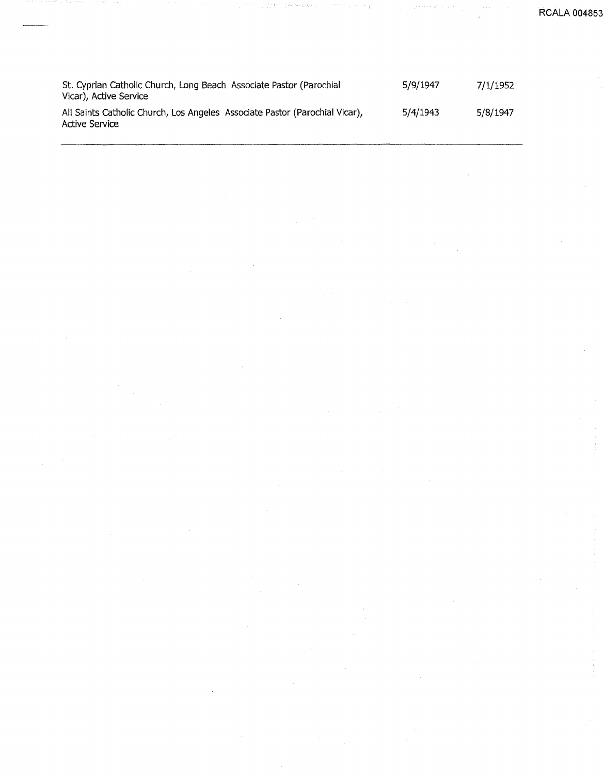**RCALA 00485** 

| St. Cyprian Catholic Church, Long Beach Associate Pastor (Parochial<br>Vicar), Active Service | 5/9/1947 | 7/1/1952 |
|-----------------------------------------------------------------------------------------------|----------|----------|
| All Saints Catholic Church, Los Angeles Associate Pastor (Parochial Vicar),<br>Active Service | 5/4/1943 | 5/8/1947 |